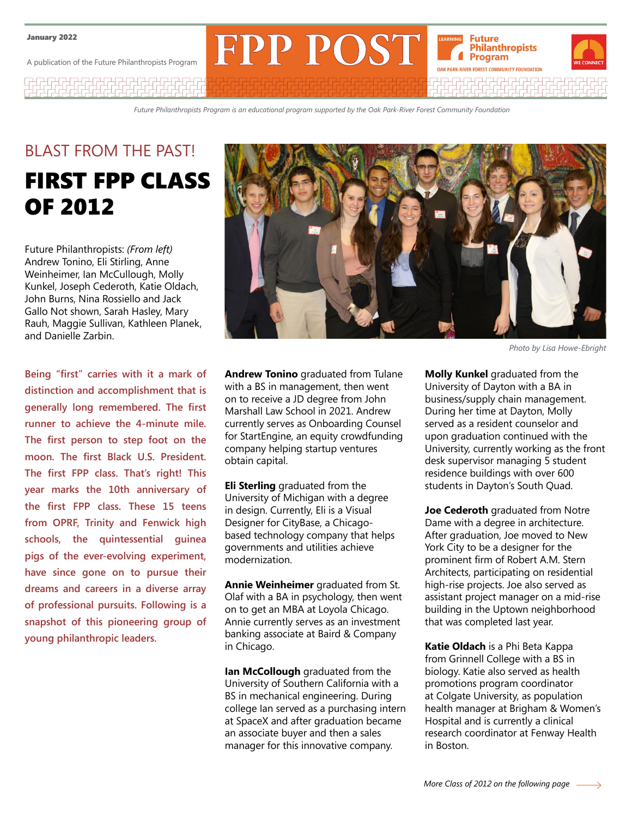A publication of the Future Philanthropists Program

7474747474747474747

*Future Philanthropists Program is an educational program supported by the Oak Park-River Forest Community Foundation*

**FPP POST** 

# BLAST FROM THE PAST! FIRST FPP CLASS OF 2012

Future Philanthropists: *(From left)* Andrew Tonino, Eli Stirling, Anne Weinheimer, Ian McCullough, Molly Kunkel, Joseph Cederoth, Katie Oldach, John Burns, Nina Rossiello and Jack Gallo Not shown, Sarah Hasley, Mary Rauh, Maggie Sullivan, Kathleen Planek, and Danielle Zarbin.

**Being "first" carries with it a mark of distinction and accomplishment that is generally long remembered. The first runner to achieve the 4-minute mile. The first person to step foot on the moon. The first Black U.S. President. The first FPP class. That's right! This year marks the 10th anniversary of the first FPP class. These 15 teens from OPRF, Trinity and Fenwick high schools, the quintessential guinea pigs of the ever-evolving experiment, have since gone on to pursue their dreams and careers in a diverse array of professional pursuits. Following is a snapshot of this pioneering group of young philanthropic leaders.**



**Future Philanthropists** Program **OAK PARK-RIVER FOREST COMMUNITY FOUNDATION** 

**Andrew Tonino** graduated from Tulane with a BS in management, then went on to receive a JD degree from John Marshall Law School in 2021. Andrew currently serves as Onboarding Counsel for StartEngine, an equity crowdfunding company helping startup ventures obtain capital.

**Eli Sterling** graduated from the University of Michigan with a degree in design. Currently, Eli is a Visual Designer for CityBase, a Chicagobased technology company that helps governments and utilities achieve modernization.

**Annie Weinheimer** graduated from St. Olaf with a BA in psychology, then went on to get an MBA at Loyola Chicago. Annie currently serves as an investment banking associate at Baird & Company in Chicago.

**Ian McCollough** graduated from the University of Southern California with a BS in mechanical engineering. During college Ian served as a purchasing intern at SpaceX and after graduation became an associate buyer and then a sales manager for this innovative company.

*Photo by Lisa Howe-Ebright*

**Molly Kunkel** graduated from the University of Dayton with a BA in business/supply chain management. During her time at Dayton, Molly served as a resident counselor and upon graduation continued with the University, currently working as the front desk supervisor managing 5 student residence buildings with over 600 students in Dayton's South Quad.

**Joe Cederoth** graduated from Notre Dame with a degree in architecture. After graduation, Joe moved to New York City to be a designer for the prominent firm of Robert A.M. Stern Architects, participating on residential high-rise projects. Joe also served as assistant project manager on a mid-rise building in the Uptown neighborhood that was completed last year.

**Katie Oldach** is a Phi Beta Kappa from Grinnell College with a BS in biology. Katie also served as health promotions program coordinator at Colgate University, as population health manager at Brigham & Women's Hospital and is currently a clinical research coordinator at Fenway Health in Boston.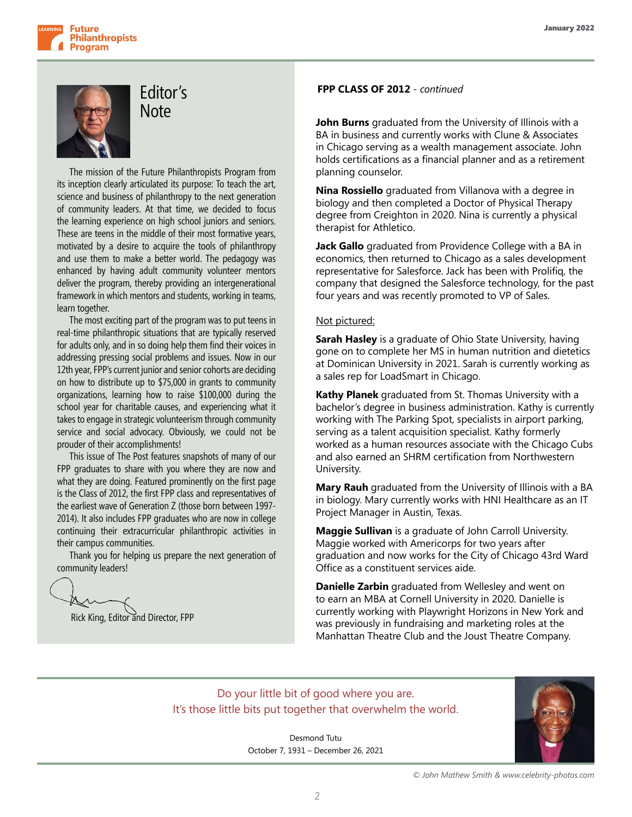

## Editor's **Note**

The mission of the Future Philanthropists Program from its inception clearly articulated its purpose: To teach the art, science and business of philanthropy to the next generation of community leaders. At that time, we decided to focus the learning experience on high school juniors and seniors. These are teens in the middle of their most formative years, motivated by a desire to acquire the tools of philanthropy and use them to make a better world. The pedagogy was enhanced by having adult community volunteer mentors deliver the program, thereby providing an intergenerational framework in which mentors and students, working in teams, learn together.

The most exciting part of the program was to put teens in real-time philanthropic situations that are typically reserved for adults only, and in so doing help them find their voices in addressing pressing social problems and issues. Now in our 12th year, FPP's current junior and senior cohorts are deciding on how to distribute up to \$75,000 in grants to community organizations, learning how to raise \$100,000 during the school year for charitable causes, and experiencing what it takes to engage in strategic volunteerism through community service and social advocacy. Obviously, we could not be prouder of their accomplishments!

This issue of The Post features snapshots of many of our FPP graduates to share with you where they are now and what they are doing. Featured prominently on the first page is the Class of 2012, the first FPP class and representatives of the earliest wave of Generation Z (those born between 1997- 2014). It also includes FPP graduates who are now in college continuing their extracurricular philanthropic activities in their campus communities.

Thank you for helping us prepare the next generation of community leaders!

Rick King, Editor and Director, FPP

#### **FPP CLASS OF 2012** *- continued*

**John Burns** graduated from the University of Illinois with a BA in business and currently works with Clune & Associates in Chicago serving as a wealth management associate. John holds certifications as a financial planner and as a retirement planning counselor.

**Nina Rossiello** graduated from Villanova with a degree in biology and then completed a Doctor of Physical Therapy degree from Creighton in 2020. Nina is currently a physical therapist for Athletico.

**Jack Gallo** graduated from Providence College with a BA in economics, then returned to Chicago as a sales development representative for Salesforce. Jack has been with Prolifiq, the company that designed the Salesforce technology, for the past four years and was recently promoted to VP of Sales.

#### Not pictured:

**Sarah Hasley** is a graduate of Ohio State University, having gone on to complete her MS in human nutrition and dietetics at Dominican University in 2021. Sarah is currently working as a sales rep for LoadSmart in Chicago.

**Kathy Planek** graduated from St. Thomas University with a bachelor's degree in business administration. Kathy is currently working with The Parking Spot, specialists in airport parking, serving as a talent acquisition specialist. Kathy formerly worked as a human resources associate with the Chicago Cubs and also earned an SHRM certification from Northwestern University.

**Mary Rauh** graduated from the University of Illinois with a BA in biology. Mary currently works with HNI Healthcare as an IT Project Manager in Austin, Texas.

**Maggie Sullivan** is a graduate of John Carroll University. Maggie worked with Americorps for two years after graduation and now works for the City of Chicago 43rd Ward Office as a constituent services aide.

**Danielle Zarbin** graduated from Wellesley and went on to earn an MBA at Cornell University in 2020. Danielle is currently working with Playwright Horizons in New York and was previously in fundraising and marketing roles at the Manhattan Theatre Club and the Joust Theatre Company.

### Do your little bit of good where you are. It's those little bits put together that overwhelm the world.

Desmond Tutu October 7, 1931 – December 26, 2021



*© John Mathew Smith & www.celebrity-photos.com*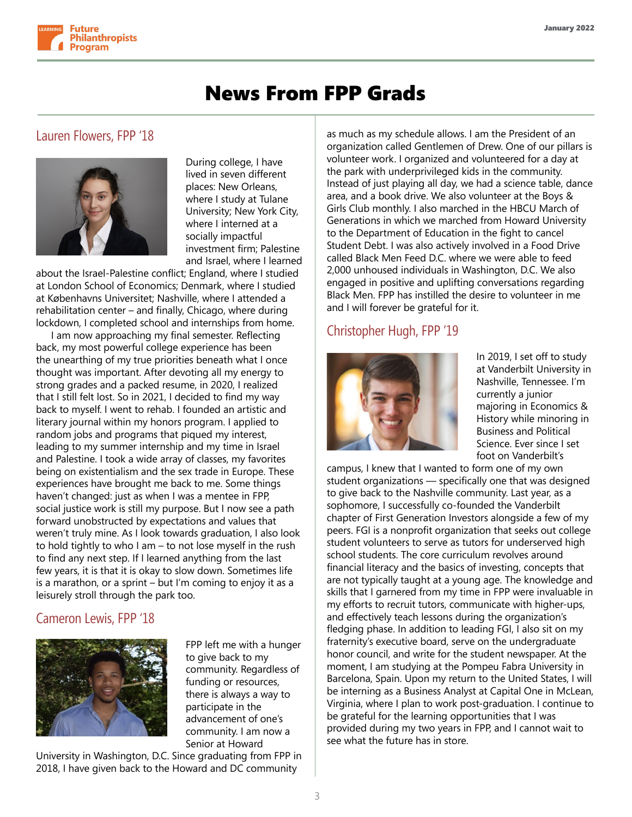

### News From FPP Grads

### Lauren Flowers, FPP '18



During college, I have lived in seven different places: New Orleans, where I study at Tulane University; New York City, where I interned at a socially impactful investment firm; Palestine and Israel, where I learned

about the Israel-Palestine conflict; England, where I studied at London School of Economics; Denmark, where I studied at Københavns Universitet; Nashville, where I attended a rehabilitation center – and finally, Chicago, where during lockdown, I completed school and internships from home.

 I am now approaching my final semester. Reflecting back, my most powerful college experience has been the unearthing of my true priorities beneath what I once thought was important. After devoting all my energy to strong grades and a packed resume, in 2020, I realized that I still felt lost. So in 2021, I decided to find my way back to myself. I went to rehab. I founded an artistic and literary journal within my honors program. I applied to random jobs and programs that piqued my interest, leading to my summer internship and my time in Israel and Palestine. I took a wide array of classes, my favorites being on existentialism and the sex trade in Europe. These experiences have brought me back to me. Some things haven't changed: just as when I was a mentee in FPP, social justice work is still my purpose. But I now see a path forward unobstructed by expectations and values that weren't truly mine. As I look towards graduation, I also look to hold tightly to who I am – to not lose myself in the rush to find any next step. If I learned anything from the last few years, it is that it is okay to slow down. Sometimes life is a marathon, or a sprint – but I'm coming to enjoy it as a leisurely stroll through the park too.

### Cameron Lewis, FPP '18



FPP left me with a hunger to give back to my community. Regardless of funding or resources, there is always a way to participate in the advancement of one's community. I am now a Senior at Howard

University in Washington, D.C. Since graduating from FPP in 2018, I have given back to the Howard and DC community

as much as my schedule allows. I am the President of an organization called Gentlemen of Drew. One of our pillars is volunteer work. I organized and volunteered for a day at the park with underprivileged kids in the community. Instead of just playing all day, we had a science table, dance area, and a book drive. We also volunteer at the Boys & Girls Club monthly. I also marched in the HBCU March of Generations in which we marched from Howard University to the Department of Education in the fight to cancel Student Debt. I was also actively involved in a Food Drive called Black Men Feed D.C. where we were able to feed 2,000 unhoused individuals in Washington, D.C. We also engaged in positive and uplifting conversations regarding Black Men. FPP has instilled the desire to volunteer in me and I will forever be grateful for it.

### Christopher Hugh, FPP '19



In 2019, I set off to study at Vanderbilt University in Nashville, Tennessee. I'm currently a junior majoring in Economics & History while minoring in Business and Political Science. Ever since I set foot on Vanderbilt's

campus, I knew that I wanted to form one of my own student organizations — specifically one that was designed to give back to the Nashville community. Last year, as a sophomore, I successfully co-founded the Vanderbilt chapter of First Generation Investors alongside a few of my peers. FGI is a nonprofit organization that seeks out college student volunteers to serve as tutors for underserved high school students. The core curriculum revolves around financial literacy and the basics of investing, concepts that are not typically taught at a young age. The knowledge and skills that I garnered from my time in FPP were invaluable in my efforts to recruit tutors, communicate with higher-ups, and effectively teach lessons during the organization's fledging phase. In addition to leading FGI, I also sit on my fraternity's executive board, serve on the undergraduate honor council, and write for the student newspaper. At the moment, I am studying at the Pompeu Fabra University in Barcelona, Spain. Upon my return to the United States, I will be interning as a Business Analyst at Capital One in McLean, Virginia, where I plan to work post-graduation. I continue to be grateful for the learning opportunities that I was provided during my two years in FPP, and I cannot wait to see what the future has in store.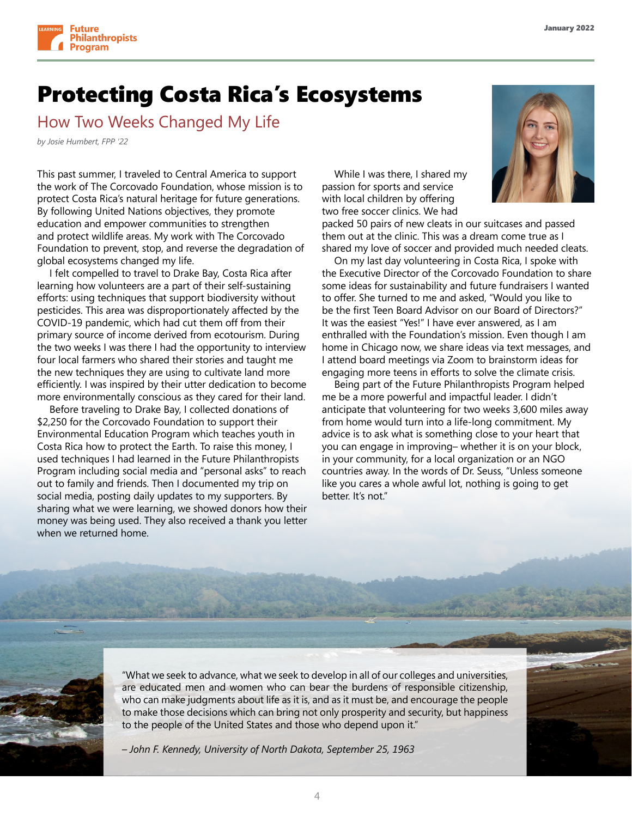

### Protecting Costa Rica's Ecosystems

How Two Weeks Changed My Life

*by Josie Humbert, FPP '22*

This past summer, I traveled to Central America to support the work of The Corcovado Foundation, whose mission is to protect Costa Rica's natural heritage for future generations. By following United Nations objectives, they promote education and empower communities to strengthen and protect wildlife areas. My work with The Corcovado Foundation to prevent, stop, and reverse the degradation of global ecosystems changed my life.

I felt compelled to travel to Drake Bay, Costa Rica after learning how volunteers are a part of their self-sustaining efforts: using techniques that support biodiversity without pesticides. This area was disproportionately affected by the COVID-19 pandemic, which had cut them off from their primary source of income derived from ecotourism. During the two weeks I was there I had the opportunity to interview four local farmers who shared their stories and taught me the new techniques they are using to cultivate land more efficiently. I was inspired by their utter dedication to become more environmentally conscious as they cared for their land.

Before traveling to Drake Bay, I collected donations of \$2,250 for the Corcovado Foundation to support their Environmental Education Program which teaches youth in Costa Rica how to protect the Earth. To raise this money, I used techniques I had learned in the Future Philanthropists Program including social media and "personal asks" to reach out to family and friends. Then I documented my trip on social media, posting daily updates to my supporters. By sharing what we were learning, we showed donors how their money was being used. They also received a thank you letter when we returned home.

While I was there, I shared my passion for sports and service with local children by offering two free soccer clinics. We had



packed 50 pairs of new cleats in our suitcases and passed them out at the clinic. This was a dream come true as I shared my love of soccer and provided much needed cleats.

On my last day volunteering in Costa Rica, I spoke with the Executive Director of the Corcovado Foundation to share some ideas for sustainability and future fundraisers I wanted to offer. She turned to me and asked, "Would you like to be the first Teen Board Advisor on our Board of Directors?" It was the easiest "Yes!" I have ever answered, as I am enthralled with the Foundation's mission. Even though I am home in Chicago now, we share ideas via text messages, and I attend board meetings via Zoom to brainstorm ideas for engaging more teens in efforts to solve the climate crisis.

Being part of the Future Philanthropists Program helped me be a more powerful and impactful leader. I didn't anticipate that volunteering for two weeks 3,600 miles away from home would turn into a life-long commitment. My advice is to ask what is something close to your heart that you can engage in improving– whether it is on your block, in your community, for a local organization or an NGO countries away. In the words of Dr. Seuss, "Unless someone like you cares a whole awful lot, nothing is going to get better. It's not."



"What we seek to advance, what we seek to develop in all of our colleges and universities, are educated men and women who can bear the burdens of responsible citizenship, who can make judgments about life as it is, and as it must be, and encourage the people to make those decisions which can bring not only prosperity and security, but happiness to the people of the United States and those who depend upon it."

*– John F. Kennedy, University of North Dakota, September 25, 1963*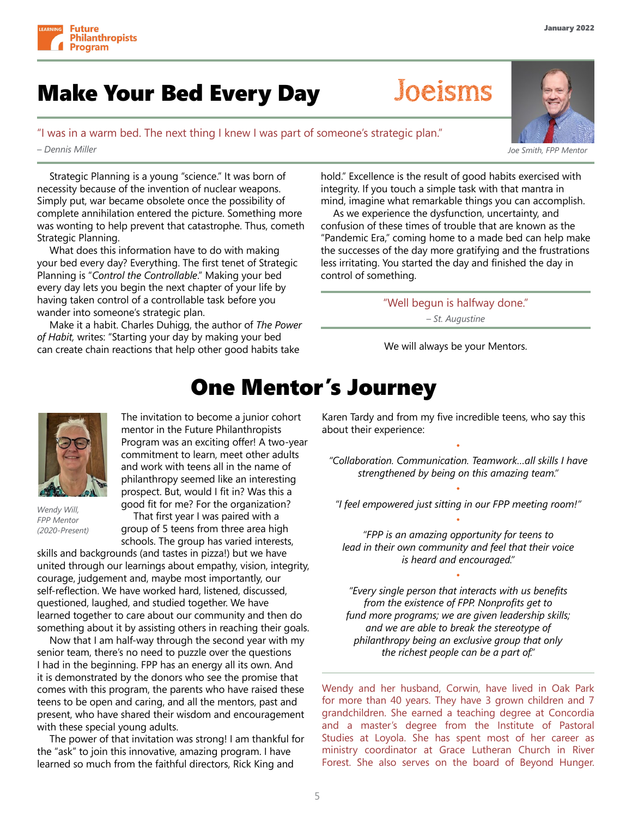

# Make Your Bed Every Day Joeisms

### "I was in a warm bed. The next thing I knew I was part of someone's strategic plan."

*– Dennis Miller*

Strategic Planning is a young "science." It was born of necessity because of the invention of nuclear weapons. Simply put, war became obsolete once the possibility of complete annihilation entered the picture. Something more was wonting to help prevent that catastrophe. Thus, cometh Strategic Planning.

What does this information have to do with making your bed every day? Everything. The first tenet of Strategic Planning is "*Control the Controllable*." Making your bed every day lets you begin the next chapter of your life by having taken control of a controllable task before you wander into someone's strategic plan.

Make it a habit. Charles Duhigg, the author of *The Power of Habit,* writes: "Starting your day by making your bed can create chain reactions that help other good habits take

hold." Excellence is the result of good habits exercised with integrity. If you touch a simple task with that mantra in mind, imagine what remarkable things you can accomplish.

As we experience the dysfunction, uncertainty, and confusion of these times of trouble that are known as the "Pandemic Era," coming home to a made bed can help make the successes of the day more gratifying and the frustrations less irritating. You started the day and finished the day in control of something.

> "Well begun is halfway done." *– St. Augustine*

We will always be your Mentors.

# One Mentor's Journey



*Wendy Will, FPP Mentor (2020-Present)* The invitation to become a junior cohort mentor in the Future Philanthropists Program was an exciting offer! A two-year commitment to learn, meet other adults and work with teens all in the name of philanthropy seemed like an interesting prospect. But, would I fit in? Was this a good fit for me? For the organization?

That first year I was paired with a group of 5 teens from three area high schools. The group has varied interests,

skills and backgrounds (and tastes in pizza!) but we have united through our learnings about empathy, vision, integrity, courage, judgement and, maybe most importantly, our self-reflection. We have worked hard, listened, discussed, questioned, laughed, and studied together. We have learned together to care about our community and then do something about it by assisting others in reaching their goals.

Now that I am half-way through the second year with my senior team, there's no need to puzzle over the questions I had in the beginning. FPP has an energy all its own. And it is demonstrated by the donors who see the promise that comes with this program, the parents who have raised these teens to be open and caring, and all the mentors, past and present, who have shared their wisdom and encouragement with these special young adults.

The power of that invitation was strong! I am thankful for the "ask" to join this innovative, amazing program. I have learned so much from the faithful directors, Rick King and

Karen Tardy and from my five incredible teens, who say this about their experience:

*"Collaboration. Communication. Teamwork…all skills I have strengthened by being on this amazing team."*

•

• *"I feel empowered just sitting in our FPP meeting room!"* •

*"FPP is an amazing opportunity for teens to lead in their own community and feel that their voice is heard and encouraged."*

•

*"Every single person that interacts with us benefits from the existence of FPP. Nonprofits get to fund more programs; we are given leadership skills; and we are able to break the stereotype of philanthropy being an exclusive group that only the richest people can be a part of."*

Wendy and her husband, Corwin, have lived in Oak Park for more than 40 years. They have 3 grown children and 7 grandchildren. She earned a teaching degree at Concordia and a master's degree from the Institute of Pastoral Studies at Loyola. She has spent most of her career as ministry coordinator at Grace Lutheran Church in River Forest. She also serves on the board of Beyond Hunger.

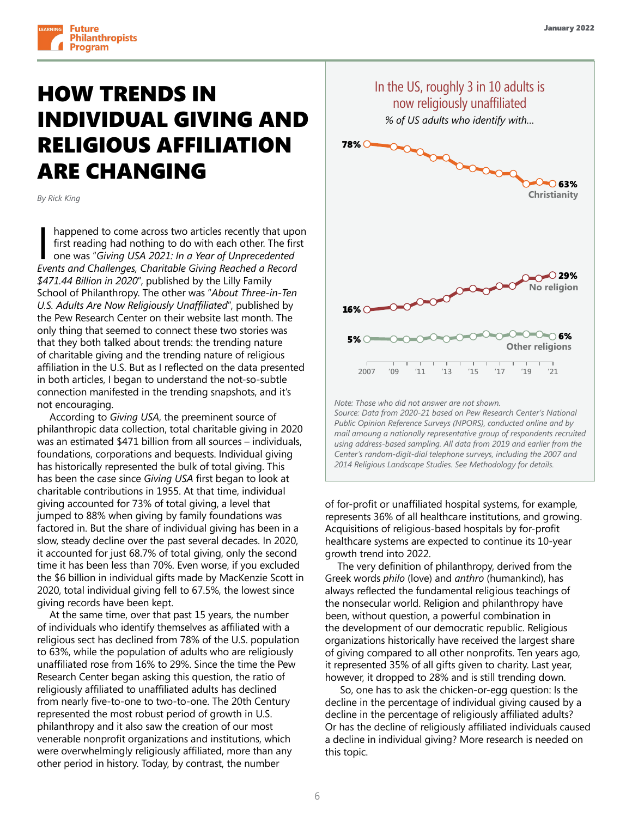

# HOW TRENDS IN INDIVIDUAL GIVING AND RELIGIOUS AFFILIATION ARE CHANGING

*By Rick King*

happened to come across two articles recently that upon first reading had nothing to do with each other. The first one was "*Giving USA 2021: In a Year of Unprecedented Events and Challenges, Charitable Giving Reached a Record*  \$471.44 Billion in 2020", published by the Lilly Family School of Philanthropy. The other was "*About Three-in-Ten*  **No religion** U.S. Adults Are Now Religiously Unaffiliated", published by the Pew Research Center on their website last month. The only thing that seemed to connect these two stories was that they both talked about trends: the trending nature of charitable giving and the trending nature of religious affiliation in the U.S. But as I reflected on the data presented **2007 '09 '11 '13 '15 '17 '19 '21** in both articles, I began to understand the not-so-subtle connection manifested in the trending snapshots, and it's not encouraging. that they both talked about trends: the trending

According to *Giving USA*, the preeminent source of philanthropic data collection, total charitable giving in 2020 was an estimated \$471 billion from all sources – individuals, foundations, corporations and bequests. Individual giving has historically represented the bulk of total giving. This has been the case since *Giving USA* first began to look at charitable contributions in 1955. At that time, individual giving accounted for 73% of total giving, a level that jumped to 88% when giving by family foundations was factored in. But the share of individual giving has been in a slow, steady decline over the past several decades. In 2020, it accounted for just 68.7% of total giving, only the second time it has been less than 70%. Even worse, if you excluded the \$6 billion in individual gifts made by MacKenzie Scott in 2020, total individual giving fell to 67.5%, the lowest since giving records have been kept.

At the same time, over that past 15 years, the number of individuals who identify themselves as affiliated with a religious sect has declined from 78% of the U.S. population to 63%, while the population of adults who are religiously unaffiliated rose from 16% to 29%. Since the time the Pew Research Center began asking this question, the ratio of religiously affiliated to unaffiliated adults has declined from nearly five-to-one to two-to-one. The 20th Century represented the most robust period of growth in U.S. philanthropy and it also saw the creation of our most venerable nonprofit organizations and institutions, which were overwhelmingly religiously affiliated, more than any other period in history. Today, by contrast, the number



*Source: Data from 2020-21 based on Pew Research Center's National Public Opinion Reference Surveys (NPORS), conducted online and by mail amoung a nationally representative group of respondents recruited using address-based sampling. All data from 2019 and earlier from the Center's random-digit-dial telephone surveys, including the 2007 and 2014 Religious Landscape Studies. See Methodology for details.*

of for-profit or unaffiliated hospital systems, for example, represents 36% of all healthcare institutions, and growing. Acquisitions of religious-based hospitals by for-profit healthcare systems are expected to continue its 10-year growth trend into 2022.

The very definition of philanthropy, derived from the Greek words *philo* (love) and *anthro* (humankind), has always reflected the fundamental religious teachings of the nonsecular world. Religion and philanthropy have been, without question, a powerful combination in the development of our democratic republic. Religious organizations historically have received the largest share of giving compared to all other nonprofits. Ten years ago, it represented 35% of all gifts given to charity. Last year, however, it dropped to 28% and is still trending down.

 So, one has to ask the chicken-or-egg question: Is the decline in the percentage of individual giving caused by a decline in the percentage of religiously affiliated adults? Or has the decline of religiously affiliated individuals caused a decline in individual giving? More research is needed on this topic.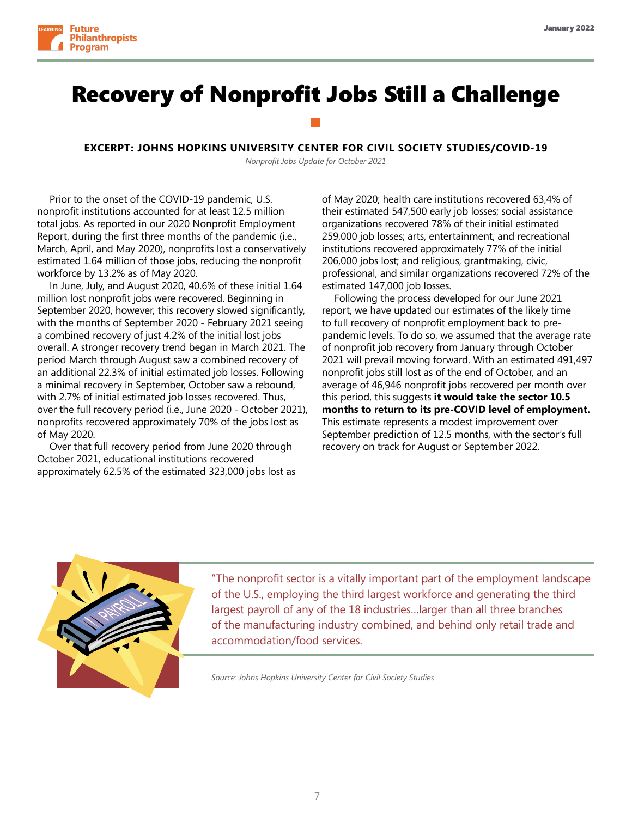

## Recovery of Nonprofit Jobs Still a Challenge

#### **EXCERPT: JOHNS HOPKINS UNIVERSITY CENTER FOR CIVIL SOCIETY STUDIES/COVID-19**

*Nonprofit Jobs Update for October 2021*

Prior to the onset of the COVID-19 pandemic, U.S. nonprofit institutions accounted for at least 12.5 million total jobs. As reported in our 2020 Nonprofit Employment Report, during the first three months of the pandemic (i.e., March, April, and May 2020), nonprofits lost a conservatively estimated 1.64 million of those jobs, reducing the nonprofit workforce by 13.2% as of May 2020.

In June, July, and August 2020, 40.6% of these initial 1.64 million lost nonprofit jobs were recovered. Beginning in September 2020, however, this recovery slowed significantly, with the months of September 2020 - February 2021 seeing a combined recovery of just 4.2% of the initial lost jobs overall. A stronger recovery trend began in March 2021. The period March through August saw a combined recovery of an additional 22.3% of initial estimated job losses. Following a minimal recovery in September, October saw a rebound, with 2.7% of initial estimated job losses recovered. Thus, over the full recovery period (i.e., June 2020 - October 2021), nonprofits recovered approximately 70% of the jobs lost as of May 2020.

Over that full recovery period from June 2020 through October 2021, educational institutions recovered approximately 62.5% of the estimated 323,000 jobs lost as of May 2020; health care institutions recovered 63,4% of their estimated 547,500 early job losses; social assistance organizations recovered 78% of their initial estimated 259,000 job losses; arts, entertainment, and recreational institutions recovered approximately 77% of the initial 206,000 jobs lost; and religious, grantmaking, civic, professional, and similar organizations recovered 72% of the estimated 147,000 job losses.

Following the process developed for our June 2021 report, we have updated our estimates of the likely time to full recovery of nonprofit employment back to prepandemic levels. To do so, we assumed that the average rate of nonprofit job recovery from January through October 2021 will prevail moving forward. With an estimated 491,497 nonprofit jobs still lost as of the end of October, and an average of 46,946 nonprofit jobs recovered per month over this period, this suggests **it would take the sector 10.5 months to return to its pre-COVID level of employment.** This estimate represents a modest improvement over September prediction of 12.5 months, with the sector's full recovery on track for August or September 2022.



"The nonprofit sector is a vitally important part of the employment landscape of the U.S., employing the third largest workforce and generating the third largest payroll of any of the 18 industries…larger than all three branches of the manufacturing industry combined, and behind only retail trade and accommodation/food services.

*Source: Johns Hopkins University Center for Civil Society Studies*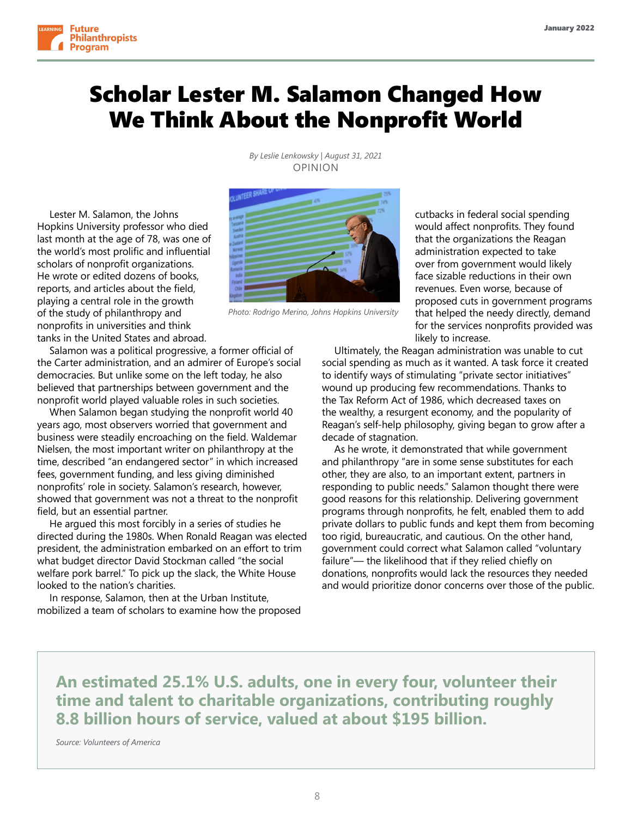

# Scholar Lester M. Salamon Changed How We Think About the Nonprofit World

*By Leslie Lenkowsky | August 31, 2021*  OPINION

Lester M. Salamon, the Johns Hopkins University professor who died last month at the age of 78, was one of the world's most prolific and influential scholars of nonprofit organizations. He wrote or edited dozens of books, reports, and articles about the field, playing a central role in the growth of the study of philanthropy and nonprofits in universities and think tanks in the United States and abroad.

Salamon was a political progressive, a former official of the Carter administration, and an admirer of Europe's social democracies. But unlike some on the left today, he also believed that partnerships between government and the nonprofit world played valuable roles in such societies.

When Salamon began studying the nonprofit world 40 years ago, most observers worried that government and business were steadily encroaching on the field. Waldemar Nielsen, the most important writer on philanthropy at the time, described "an endangered sector" in which increased fees, government funding, and less giving diminished nonprofits' role in society. Salamon's research, however, showed that government was not a threat to the nonprofit field, but an essential partner.

He argued this most forcibly in a series of studies he directed during the 1980s. When Ronald Reagan was elected president, the administration embarked on an effort to trim what budget director David Stockman called "the social welfare pork barrel." To pick up the slack, the White House looked to the nation's charities.

In response, Salamon, then at the Urban Institute, mobilized a team of scholars to examine how the proposed cutbacks in federal social spending would affect nonprofits. They found that the organizations the Reagan administration expected to take over from government would likely face sizable reductions in their own revenues. Even worse, because of proposed cuts in government programs that helped the needy directly, demand for the services nonprofits provided was likely to increase.

Ultimately, the Reagan administration was unable to cut social spending as much as it wanted. A task force it created to identify ways of stimulating "private sector initiatives" wound up producing few recommendations. Thanks to the Tax Reform Act of 1986, which decreased taxes on the wealthy, a resurgent economy, and the popularity of Reagan's self-help philosophy, giving began to grow after a decade of stagnation.

As he wrote, it demonstrated that while government and philanthropy "are in some sense substitutes for each other, they are also, to an important extent, partners in responding to public needs." Salamon thought there were good reasons for this relationship. Delivering government programs through nonprofits, he felt, enabled them to add private dollars to public funds and kept them from becoming too rigid, bureaucratic, and cautious. On the other hand, government could correct what Salamon called "voluntary failure"— the likelihood that if they relied chiefly on donations, nonprofits would lack the resources they needed and would prioritize donor concerns over those of the public.

**An estimated 25.1% U.S. adults, one in every four, volunteer their time and talent to charitable organizations, contributing roughly 8.8 billion hours of service, valued at about \$195 billion.**

*Source: Volunteers of America*